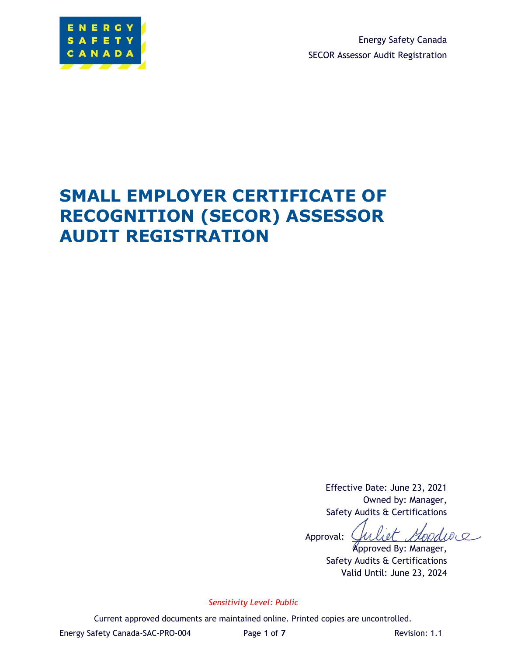

Energy Safety Canada SECOR Assessor Audit Registration

# **SMALL EMPLOYER CERTIFICATE OF RECOGNITION (SECOR) ASSESSOR AUDIT REGISTRATION**

Effective Date: June 23, 2021 Owned by: Manager, Safety Audits & Certifications

i et Moodie 0 Approval:

Approved By: Manager, Safety Audits & Certifications Valid Until: June 23, 2024

*Sensitivity Level: Public*

Current approved documents are maintained online. Printed copies are uncontrolled.

Energy Safety Canada-SAC-PRO-004 Page **1** of **7** Revision: 1.1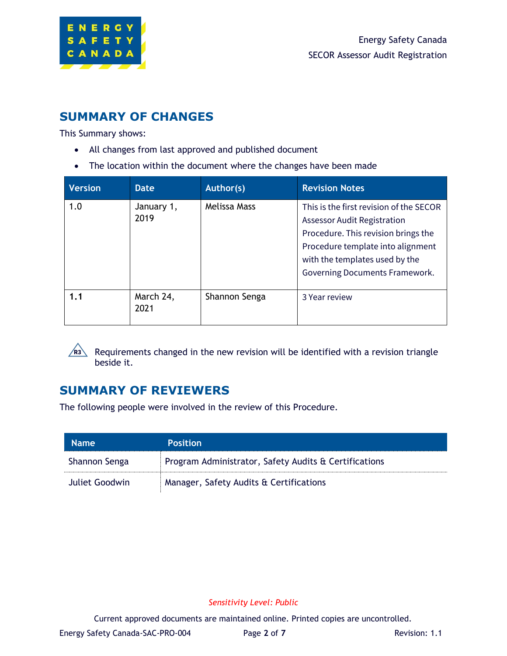

## **SUMMARY OF CHANGES**

This Summary shows:

- All changes from last approved and published document
- The location within the document where the changes have been made

| <b>Version</b> | Date               | Author(s)     | <b>Revision Notes</b>                                                                                                                                                                                                         |
|----------------|--------------------|---------------|-------------------------------------------------------------------------------------------------------------------------------------------------------------------------------------------------------------------------------|
| 1.0            | January 1,<br>2019 | Melissa Mass  | This is the first revision of the SECOR<br><b>Assessor Audit Registration</b><br>Procedure. This revision brings the<br>Procedure template into alignment<br>with the templates used by the<br>Governing Documents Framework. |
| 1.1            | March 24,<br>2021  | Shannon Senga | 3 Year review                                                                                                                                                                                                                 |

Requirements changed in the new revision will be identified with a revision triangle beside it.

## **SUMMARY OF REVIEWERS**

The following people were involved in the review of this Procedure.

| <b>Name</b>    | <b>Position</b>                                       |
|----------------|-------------------------------------------------------|
| Shannon Senga  | Program Administrator, Safety Audits & Certifications |
| Juliet Goodwin | Manager, Safety Audits & Certifications               |

#### *Sensitivity Level: Public*

Current approved documents are maintained online. Printed copies are uncontrolled.

Energy Safety Canada-SAC-PRO-004 Page 2 of 7 Revision: 1.1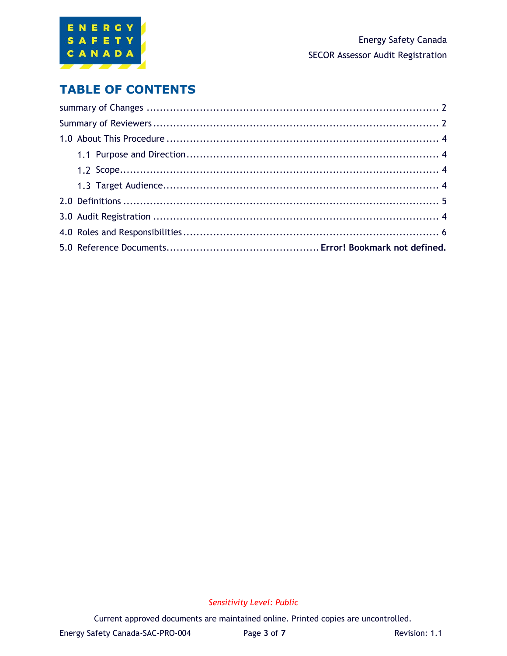

## **TABLE OF CONTENTS**

### *Sensitivity Level: Public*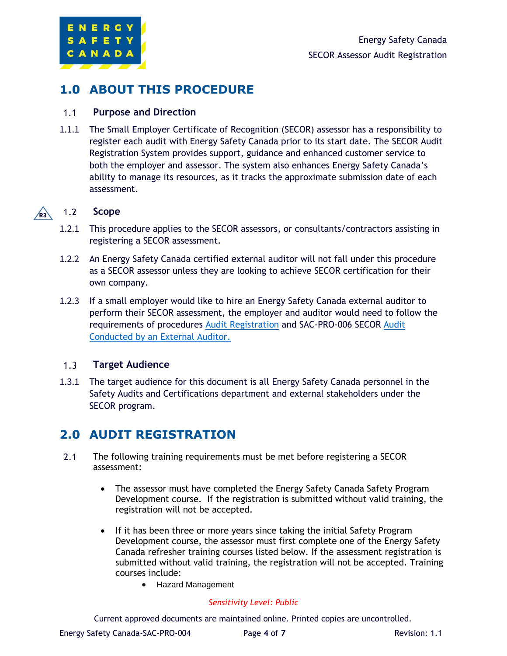

## **1.0 ABOUT THIS PROCEDURE**

#### $1.1$ **Purpose and Direction**

1.1.1 The Small Employer Certificate of Recognition (SECOR) assessor has a responsibility to register each audit with Energy Safety Canada prior to its start date. The SECOR Audit Registration System provides support, guidance and enhanced customer service to both the employer and assessor. The system also enhances Energy Safety Canada's ability to manage its resources, as it tracks the approximate submission date of each assessment.

#### $1.2$ **Scope**  $\sqrt{R3}$

- 1.2.1 This procedure applies to the SECOR assessors, or consultants/contractors assisting in registering a SECOR assessment.
- 1.2.2 An Energy Safety Canada certified external auditor will not fall under this procedure as a SECOR assessor unless they are looking to achieve SECOR certification for their own company.
- 1.2.3 If a small employer would like to hire an Energy Safety Canada external auditor to perform their SECOR assessment, the employer and auditor would need to follow the requirements of procedures [Audit Registration](https://energysafetycanada.sharepoint.com/sites/SafetyAuditsandCertifications/Policies%20%20Procedures/01%20Procedures%20and%20Process%20Flows/001%20Team%20Review/Shannon/SAC%20PRO-004%20SECOR%20Assessor%20Audit%20Registration.docx) and SAC-PRO-006 SECOR [Audit](https://energysafetycanada.sharepoint.com/sites/SafetyAuditsandCertifications/Policies%20%20Procedures/01%20Procedures%20and%20Process%20Flows/001%20Team%20Review/Shannon/SAC%20PRO-005%20SECOR%20Audit%20Conducted%20by%20a%20SECOR%20Assessor.docx)  [Conducted by an External Auditor.](https://energysafetycanada.sharepoint.com/sites/SafetyAuditsandCertifications/Policies%20%20Procedures/01%20Procedures%20and%20Process%20Flows/001%20Team%20Review/Shannon/SAC%20PRO-005%20SECOR%20Audit%20Conducted%20by%20a%20SECOR%20Assessor.docx)

#### $1.3$ **Target Audience**

1.3.1 The target audience for this document is all Energy Safety Canada personnel in the Safety Audits and Certifications department and external stakeholders under the SECOR program.

## **2.0 AUDIT REGISTRATION**

- $2.1$ The following training requirements must be met before registering a SECOR assessment:
	- The assessor must have completed the Energy Safety Canada Safety Program Development course. If the registration is submitted without valid training, the registration will not be accepted.
	- If it has been three or more years since taking the initial Safety Program Development course, the assessor must first complete one of the Energy Safety Canada refresher training courses listed below. If the assessment registration is submitted without valid training, the registration will not be accepted. Training courses include:
		- Hazard Management

#### *Sensitivity Level: Public*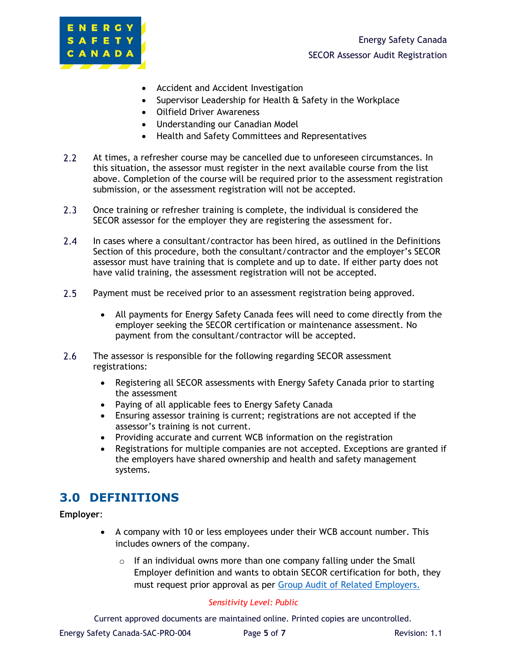

- Accident and Accident Investigation
- Supervisor Leadership for Health & Safety in the Workplace
- Oilfield Driver Awareness
- Understanding our Canadian Model
- Health and Safety Committees and Representatives
- $2.2$ At times, a refresher course may be cancelled due to unforeseen circumstances. In this situation, the assessor must register in the next available course from the list above. Completion of the course will be required prior to the assessment registration submission, or the assessment registration will not be accepted.
- $2.3$ Once training or refresher training is complete, the individual is considered the SECOR assessor for the employer they are registering the assessment for.
- $2.4$ In cases where a consultant/contractor has been hired, as outlined in the Definitions Section of this procedure, both the consultant/contractor and the employer's SECOR assessor must have training that is complete and up to date. If either party does not have valid training, the assessment registration will not be accepted.
- $2.5$ Payment must be received prior to an assessment registration being approved.
	- All payments for Energy Safety Canada fees will need to come directly from the employer seeking the SECOR certification or maintenance assessment. No payment from the consultant/contractor will be accepted.
- $2.6$ The assessor is responsible for the following regarding SECOR assessment registrations:
	- Registering all SECOR assessments with Energy Safety Canada prior to starting the assessment
	- Paying of all applicable fees to Energy Safety Canada
	- Ensuring assessor training is current; registrations are not accepted if the assessor's training is not current.
	- Providing accurate and current WCB information on the registration
	- Registrations for multiple companies are not accepted. Exceptions are granted if the employers have shared ownership and health and safety management systems.

### **3.0 DEFINITIONS**

**Employer**:

- A company with 10 or less employees under their WCB account number. This includes owners of the company.
	- $\circ$  If an individual owns more than one company falling under the Small Employer definition and wants to obtain SECOR certification for both, they must request prior approval as per [Group Audit of Related Employers.](https://www.energysafetycanada.com/EnergySafetyCanada/media/ESC/COR%20Materials%20-%20Standards/SAC_PRO-054_Group_Audit_of_Related_Employers.pdf)

#### *Sensitivity Level: Public*

Current approved documents are maintained online. Printed copies are uncontrolled.

Energy Safety Canada-SAC-PRO-004 Page 5 of 7 Revision: 1.1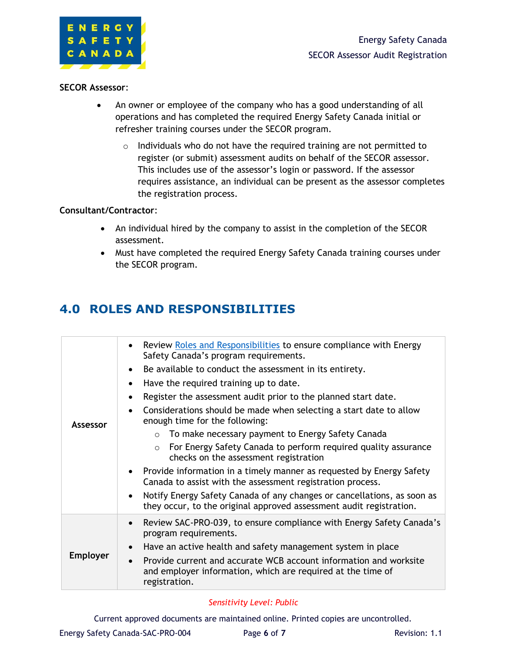

#### **SECOR Assessor**:

- An owner or employee of the company who has a good understanding of all operations and has completed the required Energy Safety Canada initial or refresher training courses under the SECOR program.
	- $\circ$  Individuals who do not have the required training are not permitted to register (or submit) assessment audits on behalf of the SECOR assessor. This includes use of the assessor's login or password. If the assessor requires assistance, an individual can be present as the assessor completes the registration process.

#### **Consultant/Contractor**:

- An individual hired by the company to assist in the completion of the SECOR assessment.
- Must have completed the required Energy Safety Canada training courses under the SECOR program.

## **4.0 ROLES AND RESPONSIBILITIES**

|                 | Review Roles and Responsibilities to ensure compliance with Energy<br>$\bullet$<br>Safety Canada's program requirements.                                       |  |  |
|-----------------|----------------------------------------------------------------------------------------------------------------------------------------------------------------|--|--|
| Assessor        | Be available to conduct the assessment in its entirety.                                                                                                        |  |  |
|                 | Have the required training up to date.                                                                                                                         |  |  |
|                 | Register the assessment audit prior to the planned start date.                                                                                                 |  |  |
|                 | Considerations should be made when selecting a start date to allow<br>enough time for the following:                                                           |  |  |
|                 | $\circ$ To make necessary payment to Energy Safety Canada                                                                                                      |  |  |
|                 | For Energy Safety Canada to perform required quality assurance<br>$\circ$<br>checks on the assessment registration                                             |  |  |
|                 | Provide information in a timely manner as requested by Energy Safety<br>$\bullet$<br>Canada to assist with the assessment registration process.                |  |  |
|                 | Notify Energy Safety Canada of any changes or cancellations, as soon as<br>$\bullet$<br>they occur, to the original approved assessment audit registration.    |  |  |
| <b>Employer</b> | Review SAC-PRO-039, to ensure compliance with Energy Safety Canada's<br>$\bullet$<br>program requirements.                                                     |  |  |
|                 | Have an active health and safety management system in place<br>$\bullet$                                                                                       |  |  |
|                 | Provide current and accurate WCB account information and worksite<br>$\bullet$<br>and employer information, which are required at the time of<br>registration. |  |  |

#### *Sensitivity Level: Public*